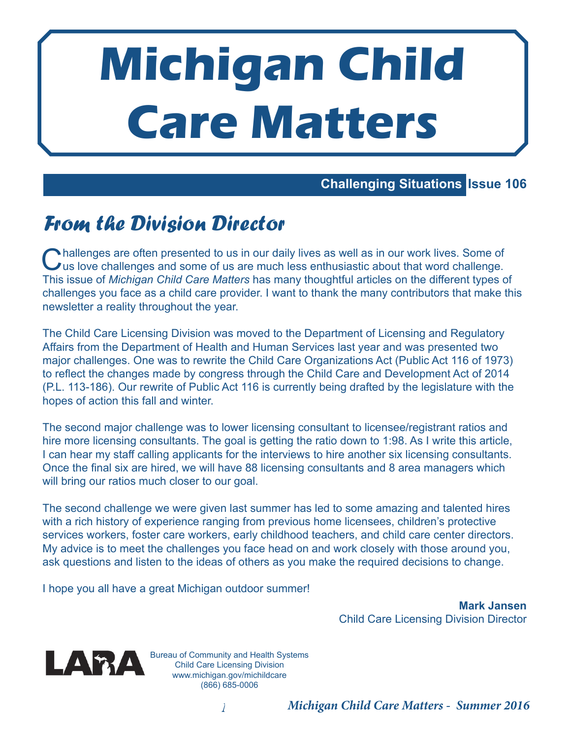# **Michigan Child Care Matters**

### **Challenging Situations Issue 106**

# From the Division Director

Challenges are often presented to us in our daily lives as well as in our work lives. Some of<br>Luis love challenges and some of us are much less enthusiastic about that word challenge. us love challenges and some of us are much less enthusiastic about that word challenge. This issue of *Michigan Child Care Matters* has many thoughtful articles on the different types of challenges you face as a child care provider. I want to thank the many contributors that make this newsletter a reality throughout the year.

The Child Care Licensing Division was moved to the Department of Licensing and Regulatory Affairs from the Department of Health and Human Services last year and was presented two major challenges. One was to rewrite the Child Care Organizations Act (Public Act 116 of 1973) to reflect the changes made by congress through the Child Care and Development Act of 2014 (P.L. 113-186). Our rewrite of Public Act 116 is currently being drafted by the legislature with the hopes of action this fall and winter.

The second major challenge was to lower licensing consultant to licensee/registrant ratios and hire more licensing consultants. The goal is getting the ratio down to 1:98. As I write this article, I can hear my staff calling applicants for the interviews to hire another six licensing consultants. Once the final six are hired, we will have 88 licensing consultants and 8 area managers which will bring our ratios much closer to our goal.

The second challenge we were given last summer has led to some amazing and talented hires with a rich history of experience ranging from previous home licensees, children's protective services workers, foster care workers, early childhood teachers, and child care center directors. My advice is to meet the challenges you face head on and work closely with those around you, ask questions and listen to the ideas of others as you make the required decisions to change.

I hope you all have a great Michigan outdoor summer!

**Mark Jansen** Child Care Licensing Division Director



Bureau of Community and Health Systems Child Care Licensing Division www.michigan.gov/michildcare (866) 685-0006

**Michigan Child Care Matters - Summer 2016** 1 **Michigan Child Care Matters - Summer 2016**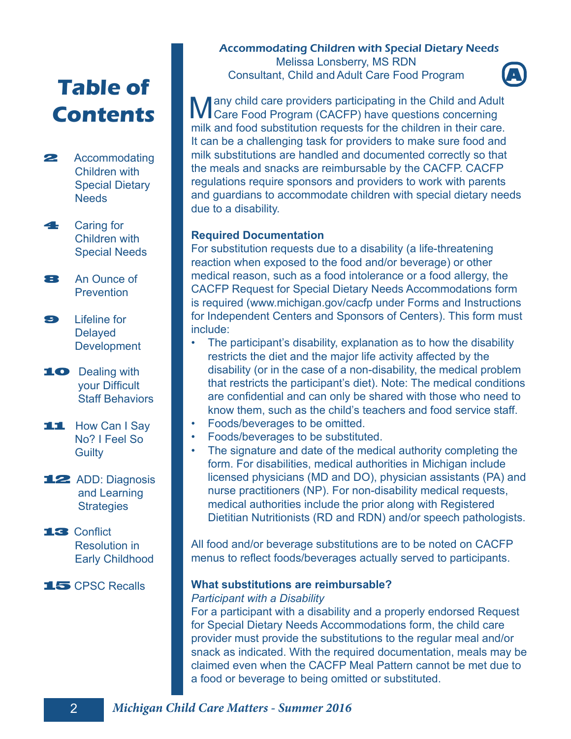# **Table of Contents**

- **22** Accommodating Children with Special Dietary **Needs**
- 4 Caring for Children with Special Needs
- **82** An Ounce of **Prevention**
- 9 Lifeline for Delayed **Development**
- **10** Dealing with **vour Difficult** Staff Behaviors
- 11 How Can I Say No? I Feel So **Guilty**
- 12 ADD: Diagnosis and Learning **Strategies**
- 13 Conflict Resolution in Early Childhood
- 15 CPSC Recalls

Accommodating Children with Special Dietary Needs Melissa Lonsberry, MS RDN **Consultant, Child and Adult Care Food Program** 



Many child care providers participating in the Child and Adult<br>Care Food Program (CACFP) have questions concerning Care Food Program (CACFP) have questions concerning milk and food substitution requests for the children in their care. It can be a challenging task for providers to make sure food and milk substitutions are handled and documented correctly so that the meals and snacks are reimbursable by the CACFP. CACFP regulations require sponsors and providers to work with parents and guardians to accommodate children with special dietary needs due to a disability.

#### **Required Documentation**

For substitution requests due to a disability (a life-threatening reaction when exposed to the food and/or beverage) or other medical reason, such as a food intolerance or a food allergy, the CACFP Request for Special Dietary Needs Accommodations form is required (www.michigan.gov/cacfp under Forms and Instructions for Independent Centers and Sponsors of Centers). This form must include:

- The participant's disability, explanation as to how the disability restricts the diet and the major life activity affected by the disability (or in the case of a non-disability, the medical problem that restricts the participant's diet). Note: The medical conditions are confidential and can only be shared with those who need to know them, such as the child's teachers and food service staff.
- Foods/beverages to be omitted.
- Foods/beverages to be substituted.
- The signature and date of the medical authority completing the form. For disabilities, medical authorities in Michigan include licensed physicians (MD and DO), physician assistants (PA) and nurse practitioners (NP). For non-disability medical requests, medical authorities include the prior along with Registered Dietitian Nutritionists (RD and RDN) and/or speech pathologists.

All food and/or beverage substitutions are to be noted on CACFP menus to reflect foods/beverages actually served to participants.

#### **What substitutions are reimbursable?**

*Participant with a Disability*

For a participant with a disability and a properly endorsed Request for Special Dietary Needs Accommodations form, the child care provider must provide the substitutions to the regular meal and/or snack as indicated. With the required documentation, meals may be claimed even when the CACFP Meal Pattern cannot be met due to a food or beverage to being omitted or substituted.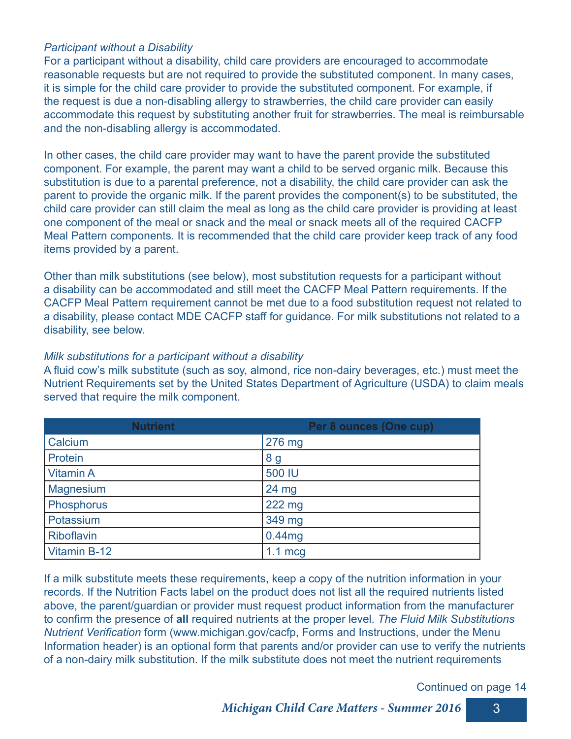#### *Participant without a Disability*

For a participant without a disability, child care providers are encouraged to accommodate reasonable requests but are not required to provide the substituted component. In many cases, it is simple for the child care provider to provide the substituted component. For example, if the request is due a non-disabling allergy to strawberries, the child care provider can easily accommodate this request by substituting another fruit for strawberries. The meal is reimbursable and the non-disabling allergy is accommodated.

In other cases, the child care provider may want to have the parent provide the substituted component. For example, the parent may want a child to be served organic milk. Because this substitution is due to a parental preference, not a disability, the child care provider can ask the parent to provide the organic milk. If the parent provides the component(s) to be substituted, the child care provider can still claim the meal as long as the child care provider is providing at least one component of the meal or snack and the meal or snack meets all of the required CACFP Meal Pattern components. It is recommended that the child care provider keep track of any food items provided by a parent.

Other than milk substitutions (see below), most substitution requests for a participant without a disability can be accommodated and still meet the CACFP Meal Pattern requirements. If the CACFP Meal Pattern requirement cannot be met due to a food substitution request not related to a disability, please contact MDE CACFP staff for guidance. For milk substitutions not related to a disability, see below.

#### *Milk substitutions for a participant without a disability*

A fluid cow's milk substitute (such as soy, almond, rice non-dairy beverages, etc.) must meet the Nutrient Requirements set by the United States Department of Agriculture (USDA) to claim meals served that require the milk component.

| <b>Nutrient</b>  | Per 8 ounces (One cup) |
|------------------|------------------------|
| Calcium          | 276 mg                 |
| Protein          | 8 g                    |
| <b>Vitamin A</b> | 500 IU                 |
| <b>Magnesium</b> | 24 mg                  |
| Phosphorus       | 222 mg                 |
| Potassium        | 349 mg                 |
| Riboflavin       | 0.44mg                 |
| Vitamin B-12     | $1.1$ mcg              |

If a milk substitute meets these requirements, keep a copy of the nutrition information in your records. If the Nutrition Facts label on the product does not list all the required nutrients listed above, the parent/guardian or provider must request product information from the manufacturer to confirm the presence of all required nutrients at the proper level. The Fluid Milk Substitutions *Nutrient Verification* form (www.michigan.gov/cacfp, Forms and Instructions, under the Menu Information header) is an optional form that parents and/or provider can use to verify the nutrients of a non-dairy milk substitution. If the milk substitute does not meet the nutrient requirements

Continued on page 14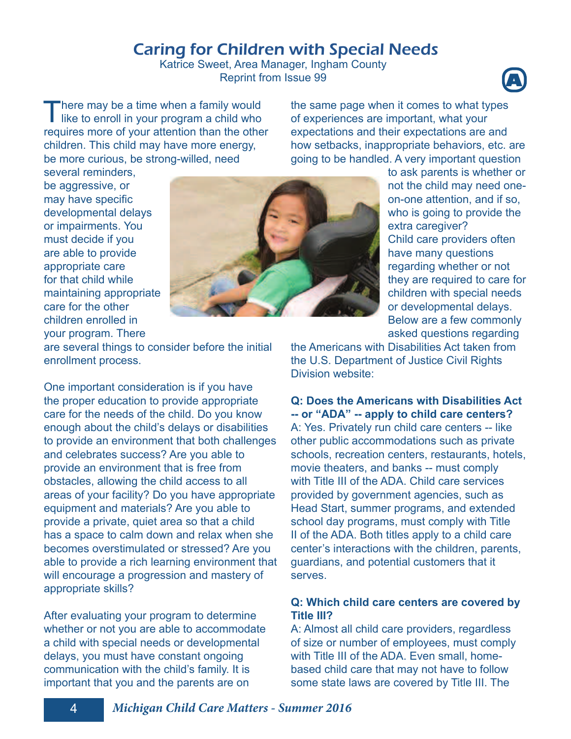## Caring for Children with Special Needs

Katrice Sweet, Area Manager, Ingham County **Reprint from Issue 99** 



There may be a time when a family would<br>like to enroll in your program a child who like to enroll in your program a child who requires more of your attention than the other children. This child may have more energy, be more curious, be strong-willed, need

the same page when it comes to what types of experiences are important, what your expectations and their expectations are and how setbacks, inappropriate behaviors, etc. are going to be handled. A very important question

several reminders, be aggressive, or may have specific developmental delays or impairments. You must decide if you are able to provide appropriate care for that child while maintaining appropriate care for the other children enrolled in your program. There



to ask parents is whether or not the child may need oneon-one attention, and if so, who is going to provide the extra caregiver? Child care providers often have many questions regarding whether or not they are required to care for children with special needs or developmental delays. Below are a few commonly asked questions regarding

are several things to consider before the initial enrollment process.

One important consideration is if you have the proper education to provide appropriate care for the needs of the child. Do you know enough about the child's delays or disabilities to provide an environment that both challenges and celebrates success? Are you able to provide an environment that is free from obstacles, allowing the child access to all areas of your facility? Do you have appropriate equipment and materials? Are you able to provide a private, quiet area so that a child has a space to calm down and relax when she becomes overstimulated or stressed? Are you able to provide a rich learning environment that will encourage a progression and mastery of appropriate skills?

After evaluating your program to determine whether or not you are able to accommodate a child with special needs or developmental delays, you must have constant ongoing communication with the child's family. It is important that you and the parents are on

the Americans with Disabilities Act taken from the U.S. Department of Justice Civil Rights Division website:

**Q: Does the Americans with Disabilities Act -- or "ADA" -- apply to child care centers?** A: Yes. Privately run child care centers -- like other public accommodations such as private schools, recreation centers, restaurants, hotels, movie theaters, and banks -- must comply with Title III of the ADA. Child care services provided by government agencies, such as Head Start, summer programs, and extended school day programs, must comply with Title II of the ADA. Both titles apply to a child care center's interactions with the children, parents, guardians, and potential customers that it serves.

#### **Q: Which child care centers are covered by Title III?**

A: Almost all child care providers, regardless of size or number of employees, must comply with Title III of the ADA. Even small, homebased child care that may not have to follow some state laws are covered by Title III. The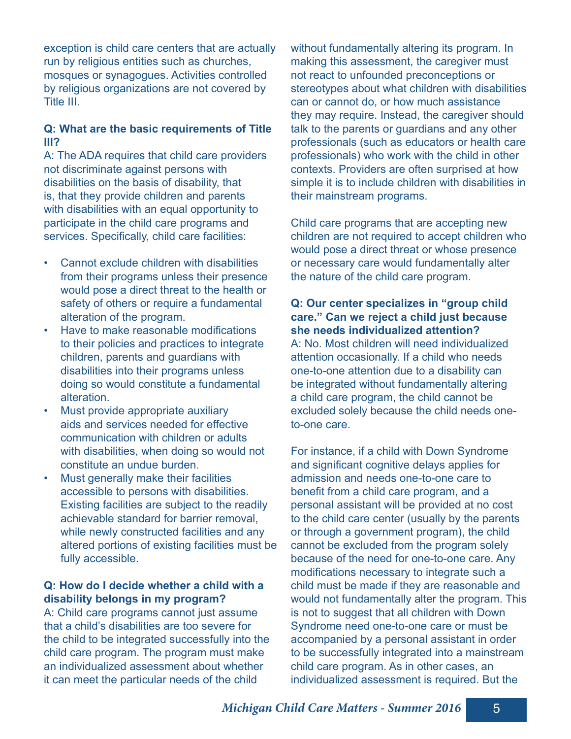exception is child care centers that are actually run by religious entities such as churches, mosques or synagogues. Activities controlled by religious organizations are not covered by Title III.

#### **Q: What are the basic requirements of Title III?**

A: The ADA requires that child care providers not discriminate against persons with disabilities on the basis of disability, that is, that they provide children and parents with disabilities with an equal opportunity to participate in the child care programs and services. Specifically, child care facilities:

- Cannot exclude children with disabilities from their programs unless their presence would pose a direct threat to the health or safety of others or require a fundamental alteration of the program.
- Have to make reasonable modifications to their policies and practices to integrate children, parents and guardians with disabilities into their programs unless doing so would constitute a fundamental alteration.
- Must provide appropriate auxiliary aids and services needed for effective communication with children or adults with disabilities, when doing so would not constitute an undue burden.
- Must generally make their facilities accessible to persons with disabilities. Existing facilities are subject to the readily achievable standard for barrier removal, while newly constructed facilities and any altered portions of existing facilities must be fully accessible.

#### **Q: How do I decide whether a child with a disability belongs in my program?**

A: Child care programs cannot just assume that a child's disabilities are too severe for the child to be integrated successfully into the child care program. The program must make an individualized assessment about whether it can meet the particular needs of the child

without fundamentally altering its program. In making this assessment, the caregiver must not react to unfounded preconceptions or stereotypes about what children with disabilities can or cannot do, or how much assistance they may require. Instead, the caregiver should talk to the parents or guardians and any other professionals (such as educators or health care professionals) who work with the child in other contexts. Providers are often surprised at how simple it is to include children with disabilities in their mainstream programs.

Child care programs that are accepting new children are not required to accept children who would pose a direct threat or whose presence or necessary care would fundamentally alter the nature of the child care program.

#### **Q: Our center specializes in "group child care." Can we reject a child just because she needs individualized attention?** A: No. Most children will need individualized attention occasionally. If a child who needs one-to-one attention due to a disability can be integrated without fundamentally altering a child care program, the child cannot be excluded solely because the child needs oneto-one care.

For instance, if a child with Down Syndrome and significant cognitive delays applies for admission and needs one-to-one care to benefit from a child care program, and a personal assistant will be provided at no cost to the child care center (usually by the parents or through a government program), the child cannot be excluded from the program solely because of the need for one-to-one care. Any modifications necessary to integrate such a child must be made if they are reasonable and would not fundamentally alter the program. This is not to suggest that all children with Down Syndrome need one-to-one care or must be accompanied by a personal assistant in order to be successfully integrated into a mainstream child care program. As in other cases, an individualized assessment is required. But the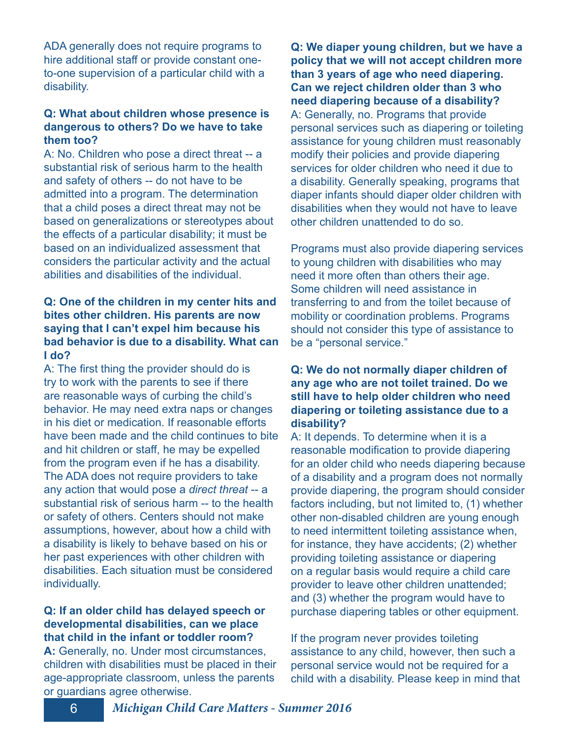ADA generally does not require programs to hire additional staff or provide constant oneto-one supervision of a particular child with a disability.

#### **Q: What about children whose presence is dangerous to others? Do we have to take them too?**

A: No. Children who pose a direct threat -- a substantial risk of serious harm to the health and safety of others -- do not have to be admitted into a program. The determination that a child poses a direct threat may not be based on generalizations or stereotypes about the effects of a particular disability; it must be based on an individualized assessment that considers the particular activity and the actual abilities and disabilities of the individual.

#### **Q: One of the children in my center hits and bites other children. His parents are now saying that I can't expel him because his bad behavior is due to a disability. What can I do?**

A: The first thing the provider should do is try to work with the parents to see if there are reasonable ways of curbing the child's behavior. He may need extra naps or changes in his diet or medication. If reasonable efforts have been made and the child continues to bite and hit children or staff, he may be expelled from the program even if he has a disability. The ADA does not require providers to take any action that would pose a *direct threat* -- a substantial risk of serious harm -- to the health or safety of others. Centers should not make assumptions, however, about how a child with a disability is likely to behave based on his or her past experiences with other children with disabilities. Each situation must be considered individually.

#### **Q: If an older child has delayed speech or developmental disabilities, can we place that child in the infant or toddler room?**

**A:** Generally, no. Under most circumstances, children with disabilities must be placed in their age-appropriate classroom, unless the parents or guardians agree otherwise.

**Q: We diaper young children, but we have a policy that we will not accept children more than 3 years of age who need diapering. Can we reject children older than 3 who need diapering because of a disability?** A: Generally, no. Programs that provide personal services such as diapering or toileting assistance for young children must reasonably modify their policies and provide diapering services for older children who need it due to a disability. Generally speaking, programs that diaper infants should diaper older children with disabilities when they would not have to leave other children unattended to do so.

Programs must also provide diapering services to young children with disabilities who may need it more often than others their age. Some children will need assistance in transferring to and from the toilet because of mobility or coordination problems. Programs should not consider this type of assistance to be a "personal service."

#### **Q: We do not normally diaper children of any age who are not toilet trained. Do we still have to help older children who need diapering or toileting assistance due to a disability?**

A: It depends. To determine when it is a reasonable modification to provide diapering for an older child who needs diapering because of a disability and a program does not normally provide diapering, the program should consider factors including, but not limited to, (1) whether other non-disabled children are young enough to need intermittent toileting assistance when, for instance, they have accidents; (2) whether providing toileting assistance or diapering on a regular basis would require a child care provider to leave other children unattended; and (3) whether the program would have to purchase diapering tables or other equipment.

If the program never provides toileting assistance to any child, however, then such a personal service would not be required for a child with a disability. Please keep in mind that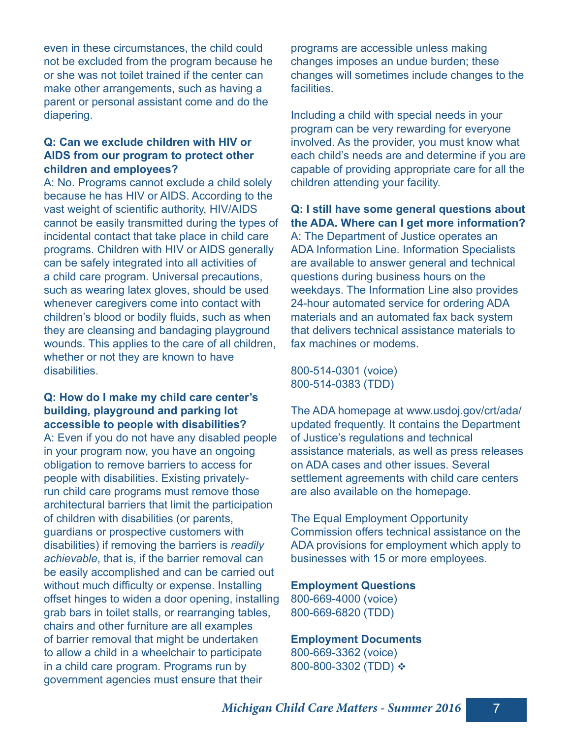even in these circumstances, the child could not be excluded from the program because he or she was not toilet trained if the center can make other arrangements, such as having a parent or personal assistant come and do the diapering.

#### **Q: Can we exclude children with HIV or AIDS from our program to protect other children and employees?**

A: No. Programs cannot exclude a child solely because he has HIV or AIDS. According to the vast weight of scientific authority, HIV/AIDS cannot be easily transmitted during the types of incidental contact that take place in child care programs. Children with HIV or AIDS generally can be safely integrated into all activities of a child care program. Universal precautions, such as wearing latex gloves, should be used whenever caregivers come into contact with children's blood or bodily fluids, such as when they are cleansing and bandaging playground wounds. This applies to the care of all children, whether or not they are known to have disabilities.

#### **Q: How do I make my child care center's building, playground and parking lot accessible to people with disabilities?**

A: Even if you do not have any disabled people in your program now, you have an ongoing obligation to remove barriers to access for people with disabilities. Existing privatelyrun child care programs must remove those architectural barriers that limit the participation of children with disabilities (or parents, guardians or prospective customers with disabilities) if removing the barriers is *readily achievable*, that is, if the barrier removal can be easily accomplished and can be carried out without much difficulty or expense. Installing offset hinges to widen a door opening, installing grab bars in toilet stalls, or rearranging tables, chairs and other furniture are all examples of barrier removal that might be undertaken to allow a child in a wheelchair to participate in a child care program. Programs run by government agencies must ensure that their

programs are accessible unless making changes imposes an undue burden; these changes will sometimes include changes to the facilities.

Including a child with special needs in your program can be very rewarding for everyone involved. As the provider, you must know what each child's needs are and determine if you are capable of providing appropriate care for all the children attending your facility.

**Q: I still have some general questions about the ADA. Where can I get more information?** A: The Department of Justice operates an ADA Information Line. Information Specialists are available to answer general and technical questions during business hours on the weekdays. The Information Line also provides 24-hour automated service for ordering ADA materials and an automated fax back system that delivers technical assistance materials to fax machines or modems.

800-514-0301 (voice) 800-514-0383 (TDD)

The ADA homepage at www.usdoj.gov/crt/ada/ updated frequently. It contains the Department of Justice's regulations and technical assistance materials, as well as press releases on ADA cases and other issues. Several settlement agreements with child care centers are also available on the homepage.

The Equal Employment Opportunity Commission offers technical assistance on the ADA provisions for employment which apply to businesses with 15 or more employees.

#### **Employment Questions**

800-669-4000 (voice) 800-669-6820 (TDD)

#### **Employment Documents** 800-669-3362 (voice) 800-800-3302 (TDD) ❖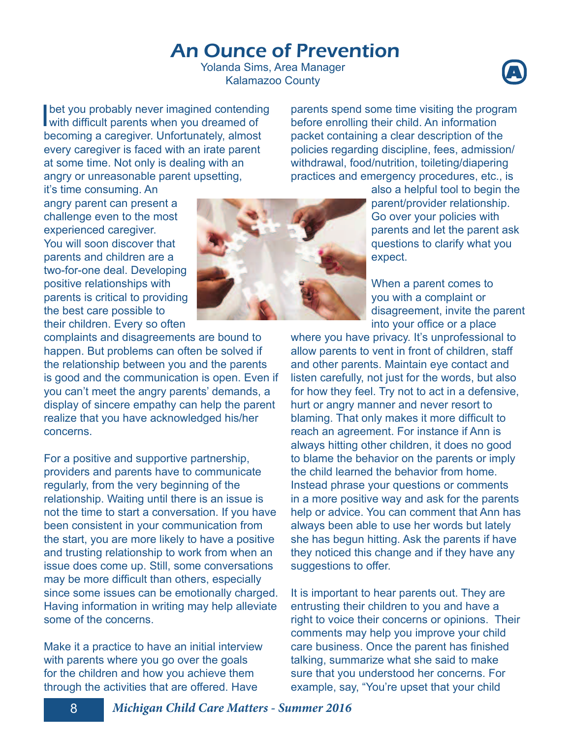## An Ounce of Prevention

Yolanda Sims, Area Manager Kalamazoo County **<sup>A</sup>**



**I** bet you probably never imagined contending with difficult parents when you dreamed of becoming a caregiver. Unfortunately, almost every caregiver is faced with an irate parent at some time. Not only is dealing with an angry or unreasonable parent upsetting,

parents spend some time visiting the program before enrolling their child. An information packet containing a clear description of the policies regarding discipline, fees, admission/ withdrawal, food/nutrition, toileting/diapering practices and emergency procedures, etc., is

it's time consuming. An angry parent can present a challenge even to the most experienced caregiver. You will soon discover that parents and children are a two-for-one deal. Developing positive relationships with parents is critical to providing the best care possible to their children. Every so often



also a helpful tool to begin the parent/provider relationship. Go over your policies with parents and let the parent ask questions to clarify what you expect.

When a parent comes to you with a complaint or disagreement, invite the parent into your office or a place

complaints and disagreements are bound to happen. But problems can often be solved if the relationship between you and the parents is good and the communication is open. Even if you can't meet the angry parents' demands, a display of sincere empathy can help the parent realize that you have acknowledged his/her concerns.

For a positive and supportive partnership, providers and parents have to communicate regularly, from the very beginning of the relationship. Waiting until there is an issue is not the time to start a conversation. If you have been consistent in your communication from the start, you are more likely to have a positive and trusting relationship to work from when an issue does come up. Still, some conversations may be more difficult than others, especially since some issues can be emotionally charged. Having information in writing may help alleviate some of the concerns.

Make it a practice to have an initial interview with parents where you go over the goals for the children and how you achieve them through the activities that are offered. Have

where you have privacy. It's unprofessional to allow parents to vent in front of children, staff and other parents. Maintain eye contact and listen carefully, not just for the words, but also for how they feel. Try not to act in a defensive, hurt or angry manner and never resort to blaming. That only makes it more difficult to reach an agreement. For instance if Ann is always hitting other children, it does no good to blame the behavior on the parents or imply the child learned the behavior from home. Instead phrase your questions or comments in a more positive way and ask for the parents help or advice. You can comment that Ann has always been able to use her words but lately she has begun hitting. Ask the parents if have they noticed this change and if they have any suggestions to offer.

It is important to hear parents out. They are entrusting their children to you and have a right to voice their concerns or opinions. Their comments may help you improve your child care business. Once the parent has finished talking, summarize what she said to make sure that you understood her concerns. For example, say, "You're upset that your child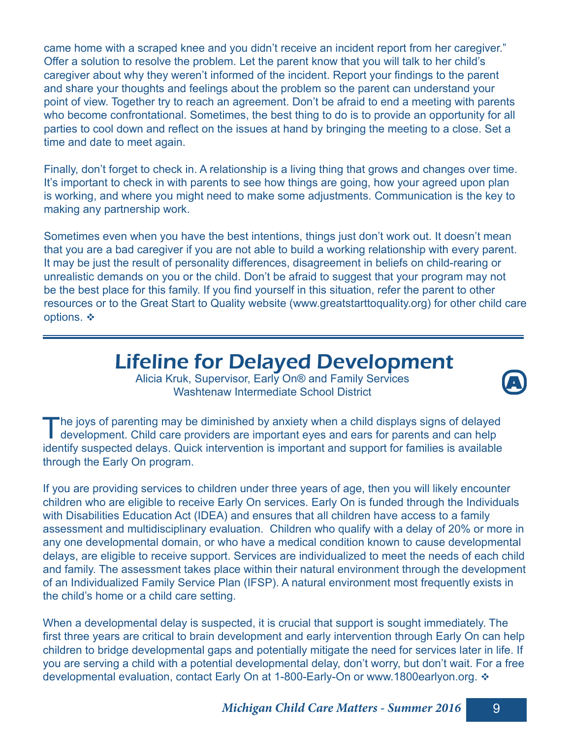came home with a scraped knee and you didn't receive an incident report from her caregiver." Offer a solution to resolve the problem. Let the parent know that you will talk to her child's caregiver about why they weren't informed of the incident. Report your findings to the parent and share your thoughts and feelings about the problem so the parent can understand your point of view. Together try to reach an agreement. Don't be afraid to end a meeting with parents who become confrontational. Sometimes, the best thing to do is to provide an opportunity for all parties to cool down and reflect on the issues at hand by bringing the meeting to a close. Set a time and date to meet again.

Finally, don't forget to check in. A relationship is a living thing that grows and changes over time. It's important to check in with parents to see how things are going, how your agreed upon plan is working, and where you might need to make some adjustments. Communication is the key to making any partnership work.

Sometimes even when you have the best intentions, things just don't work out. It doesn't mean that you are a bad caregiver if you are not able to build a working relationship with every parent. It may be just the result of personality differences, disagreement in beliefs on child-rearing or unrealistic demands on you or the child. Don't be afraid to suggest that your program may not be the best place for this family. If you find yourself in this situation, refer the parent to other resources or to the Great Start to Quality website (www.greatstarttoquality.org) for other child care options.  $\div$ 

## Lifeline for Delayed Development

Alicia Kruk, Supervisor, Early On® and Family Services Washtenaw Intermediate School District **<sup>A</sup>**



T he joys of parenting may be diminished by anxiety when a child displays signs of delayed development. Child care providers are important eyes and ears for parents and can help identify suspected delays. Quick intervention is important and support for families is available through the Early On program.

If you are providing services to children under three years of age, then you will likely encounter children who are eligible to receive Early On services. Early On is funded through the Individuals with Disabilities Education Act (IDEA) and ensures that all children have access to a family assessment and multidisciplinary evaluation. Children who qualify with a delay of 20% or more in any one developmental domain, or who have a medical condition known to cause developmental delays, are eligible to receive support. Services are individualized to meet the needs of each child and family. The assessment takes place within their natural environment through the development of an Individualized Family Service Plan (IFSP). A natural environment most frequently exists in the child's home or a child care setting.

When a developmental delay is suspected, it is crucial that support is sought immediately. The first three years are critical to brain development and early intervention through Early On can help children to bridge developmental gaps and potentially mitigate the need for services later in life. If you are serving a child with a potential developmental delay, don't worry, but don't wait. For a free developmental evaluation, contact Early On at 1-800-Early-On or www.1800earlyon.org.  $\cdot$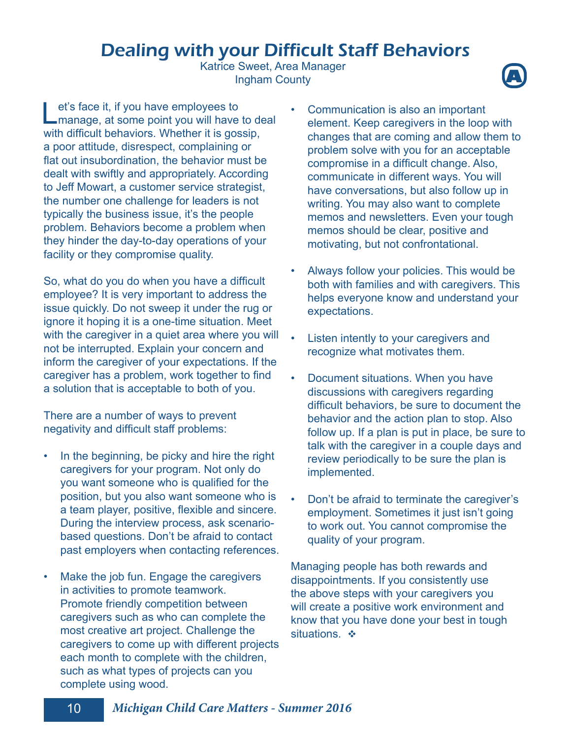## Dealing with your Difficult Staff Behaviors

Katrice Sweet, Area Manager **Ingham County** 



Let's face it, if you have employees to<br>
manage, at some point you will have to deal et's face it, if you have employees to with difficult behaviors. Whether it is gossip, a poor attitude, disrespect, complaining or flat out insubordination, the behavior must be dealt with swiftly and appropriately. According to Jeff Mowart, a customer service strategist, the number one challenge for leaders is not typically the business issue, it's the people problem. Behaviors become a problem when they hinder the day-to-day operations of your facility or they compromise quality.

So, what do you do when you have a difficult employee? It is very important to address the issue quickly. Do not sweep it under the rug or ignore it hoping it is a one-time situation. Meet with the caregiver in a quiet area where you will not be interrupted. Explain your concern and inform the caregiver of your expectations. If the caregiver has a problem, work together to find a solution that is acceptable to both of you.

There are a number of ways to prevent negativity and difficult staff problems:

- In the beginning, be picky and hire the right caregivers for your program. Not only do you want someone who is qualified for the position, but you also want someone who is a team player, positive, flexible and sincere. During the interview process, ask scenariobased questions. Don't be afraid to contact past employers when contacting references.
- Make the job fun. Engage the caregivers in activities to promote teamwork. Promote friendly competition between caregivers such as who can complete the most creative art project. Challenge the caregivers to come up with different projects each month to complete with the children, such as what types of projects can you complete using wood.
- Communication is also an important element. Keep caregivers in the loop with changes that are coming and allow them to problem solve with you for an acceptable compromise in a difficult change. Also, communicate in different ways. You will have conversations, but also follow up in writing. You may also want to complete memos and newsletters. Even your tough memos should be clear, positive and motivating, but not confrontational.
- Always follow your policies. This would be both with families and with caregivers. This helps everyone know and understand your expectations.
- Listen intently to your caregivers and recognize what motivates them.
- Document situations. When you have discussions with caregivers regarding difficult behaviors, be sure to document the behavior and the action plan to stop. Also follow up. If a plan is put in place, be sure to talk with the caregiver in a couple days and review periodically to be sure the plan is implemented.
- Don't be afraid to terminate the caregiver's employment. Sometimes it just isn't going to work out. You cannot compromise the quality of your program.

Managing people has both rewards and disappointments. If you consistently use the above steps with your caregivers you will create a positive work environment and know that you have done your best in tough situations.  $\cdot \cdot$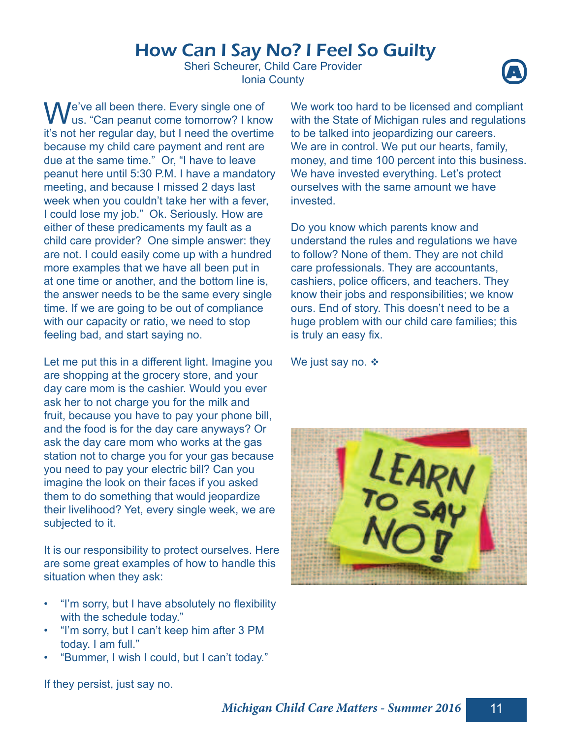## How Can I Say No? I Feel So Guilty

Sheri Scheurer, Child Care Provider<br> **A**<br> **A**<br> **A**<br> **A** 



We've all been there. Every single one of<br>
us. "Can peanut come tomorrow? I know it's not her regular day, but I need the overtime because my child care payment and rent are due at the same time." Or, "I have to leave peanut here until 5:30 P.M. I have a mandatory meeting, and because I missed 2 days last week when you couldn't take her with a fever, I could lose my job." Ok. Seriously. How are either of these predicaments my fault as a child care provider? One simple answer: they are not. I could easily come up with a hundred more examples that we have all been put in at one time or another, and the bottom line is, the answer needs to be the same every single time. If we are going to be out of compliance with our capacity or ratio, we need to stop feeling bad, and start saying no.

Let me put this in a different light. Imagine you are shopping at the grocery store, and your day care mom is the cashier. Would you ever ask her to not charge you for the milk and fruit, because you have to pay your phone bill, and the food is for the day care anyways? Or ask the day care mom who works at the gas station not to charge you for your gas because you need to pay your electric bill? Can you imagine the look on their faces if you asked them to do something that would jeopardize their livelihood? Yet, every single week, we are subjected to it.

It is our responsibility to protect ourselves. Here are some great examples of how to handle this situation when they ask:

- "I'm sorry, but I have absolutely no flexibility with the schedule today."
- "I'm sorry, but I can't keep him after 3 PM today. I am full."
- "Bummer, I wish I could, but I can't today."

We work too hard to be licensed and compliant with the State of Michigan rules and regulations to be talked into jeopardizing our careers. We are in control. We put our hearts, family, money, and time 100 percent into this business. We have invested everything. Let's protect ourselves with the same amount we have invested.

Do you know which parents know and understand the rules and regulations we have to follow? None of them. They are not child care professionals. They are accountants, cashiers, police officers, and teachers. They know their jobs and responsibilities; we know ours. End of story. This doesn't need to be a huge problem with our child care families; this is truly an easy fix.

We just say no.  $\div$ 



If they persist, just say no.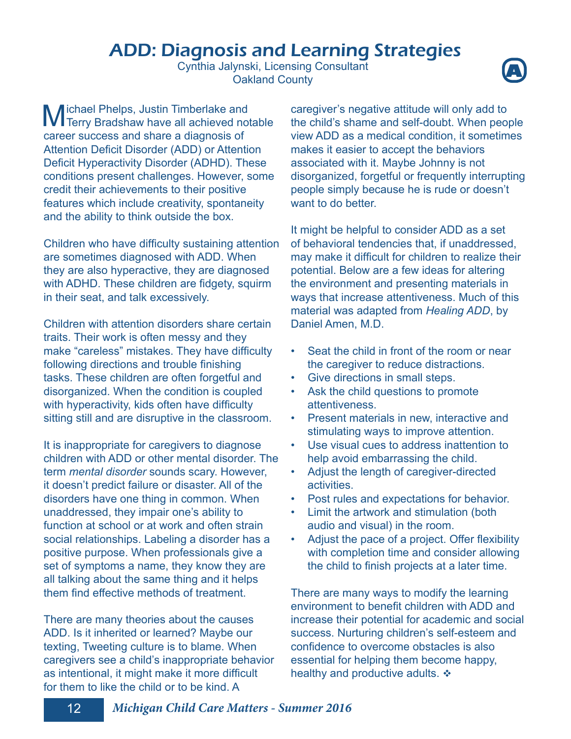## ADD: Diagnosis and Learning Strategies

Cynthia Jalynski, Licensing Consultant Oakland County **<sup>A</sup>**



**M** ichael Phelps, Justin Timberlake and<br>Terry Bradshaw have all achieved notable ichael Phelps, Justin Timberlake and career success and share a diagnosis of Attention Deficit Disorder (ADD) or Attention Deficit Hyperactivity Disorder (ADHD). These conditions present challenges. However, some credit their achievements to their positive features which include creativity, spontaneity and the ability to think outside the box.

Children who have difficulty sustaining attention are sometimes diagnosed with ADD. When they are also hyperactive, they are diagnosed with ADHD. These children are fidgety, squirm in their seat, and talk excessively.

Children with attention disorders share certain traits. Their work is often messy and they make "careless" mistakes. They have difficulty following directions and trouble finishing tasks. These children are often forgetful and disorganized. When the condition is coupled with hyperactivity, kids often have difficulty sitting still and are disruptive in the classroom.

It is inappropriate for caregivers to diagnose children with ADD or other mental disorder. The term *mental disorder* sounds scary. However, it doesn't predict failure or disaster. All of the disorders have one thing in common. When unaddressed, they impair one's ability to function at school or at work and often strain social relationships. Labeling a disorder has a positive purpose. When professionals give a set of symptoms a name, they know they are all talking about the same thing and it helps them find effective methods of treatment.

There are many theories about the causes ADD. Is it inherited or learned? Maybe our texting, Tweeting culture is to blame. When caregivers see a child's inappropriate behavior as intentional, it might make it more difficult for them to like the child or to be kind. A

caregiver's negative attitude will only add to the child's shame and self-doubt. When people view ADD as a medical condition, it sometimes makes it easier to accept the behaviors associated with it. Maybe Johnny is not disorganized, forgetful or frequently interrupting people simply because he is rude or doesn't want to do better.

It might be helpful to consider ADD as a set of behavioral tendencies that, if unaddressed, may make it difficult for children to realize their potential. Below are a few ideas for altering the environment and presenting materials in ways that increase attentiveness. Much of this material was adapted from *Healing ADD*, by Daniel Amen, M.D.

- Seat the child in front of the room or near the caregiver to reduce distractions.
- Give directions in small steps.
- Ask the child questions to promote attentiveness.
- Present materials in new, interactive and stimulating ways to improve attention.
- Use visual cues to address inattention to help avoid embarrassing the child.
- Adjust the length of caregiver-directed activities.
- Post rules and expectations for behavior.
- Limit the artwork and stimulation (both audio and visual) in the room.
- Adjust the pace of a project. Offer flexibility with completion time and consider allowing the child to finish projects at a later time.

There are many ways to modify the learning environment to benefit children with ADD and increase their potential for academic and social success. Nurturing children's self-esteem and confidence to overcome obstacles is also essential for helping them become happy, healthy and productive adults.  $\div$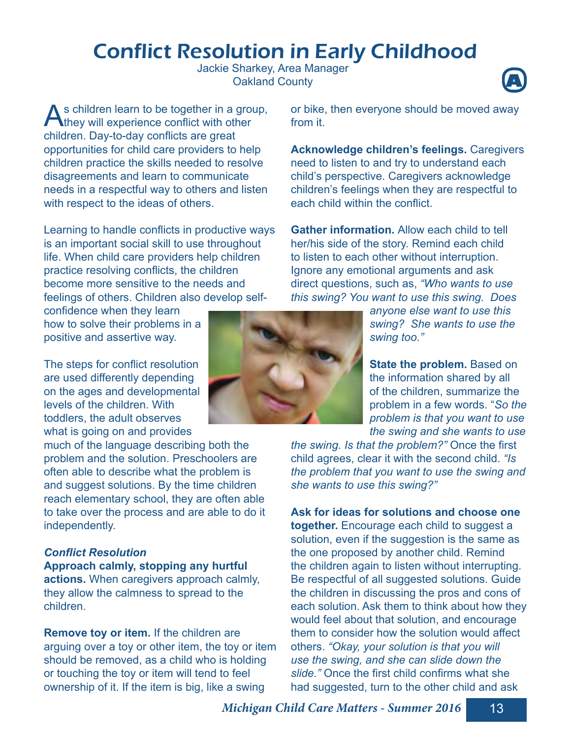# Conflict Resolution in Early Childhood

Jackie Sharkey, Area Manager **Oakland County** 



As children learn to be together in a grou<br>they will experience conflict with other s children learn to be together in a group, children. Day-to-day conflicts are great opportunities for child care providers to help children practice the skills needed to resolve disagreements and learn to communicate needs in a respectful way to others and listen with respect to the ideas of others.

Learning to handle conflicts in productive ways is an important social skill to use throughout life. When child care providers help children practice resolving conflicts, the children become more sensitive to the needs and feelings of others. Children also develop self-

confidence when they learn how to solve their problems in a positive and assertive way.

The steps for conflict resolution are used differently depending on the ages and developmental levels of the children. With toddlers, the adult observes what is going on and provides

much of the language describing both the problem and the solution. Preschoolers are often able to describe what the problem is and suggest solutions. By the time children reach elementary school, they are often able to take over the process and are able to do it independently.

#### **Conflict Resolution**

**Approach calmly, stopping any hurtful actions.** When caregivers approach calmly, they allow the calmness to spread to the children.

**Remove toy or item.** If the children are arguing over a toy or other item, the toy or item should be removed, as a child who is holding or touching the toy or item will tend to feel ownership of it. If the item is big, like a swing



or bike, then everyone should be moved away from it.

**Acknowledge children's feelings.** Caregivers need to listen to and try to understand each child's perspective. Caregivers acknowledge children's feelings when they are respectful to each child within the conflict.

**Gather information.** Allow each child to tell her/his side of the story. Remind each child to listen to each other without interruption. Ignore any emotional arguments and ask direct questions, such as, *"Who wants to use this swing? You want to use this swing. Does* 

> *anyone else want to use this swing? She wants to use the swing too."*

**State the problem.** Based on the information shared by all of the children, summarize the problem in a few words. "*So the problem is that you want to use the swing and she wants to use* 

*the swing. Is that the problem?"* Once the first child agrees, clear it with the second child. *"Is the problem that you want to use the swing and she wants to use this swing?"*

**Ask for ideas for solutions and choose one together.** Encourage each child to suggest a solution, even if the suggestion is the same as the one proposed by another child. Remind the children again to listen without interrupting. Be respectful of all suggested solutions. Guide the children in discussing the pros and cons of each solution. Ask them to think about how they would feel about that solution, and encourage them to consider how the solution would affect others. *"Okay, your solution is that you will use the swing, and she can slide down the*  slide." Once the first child confirms what she had suggested, turn to the other child and ask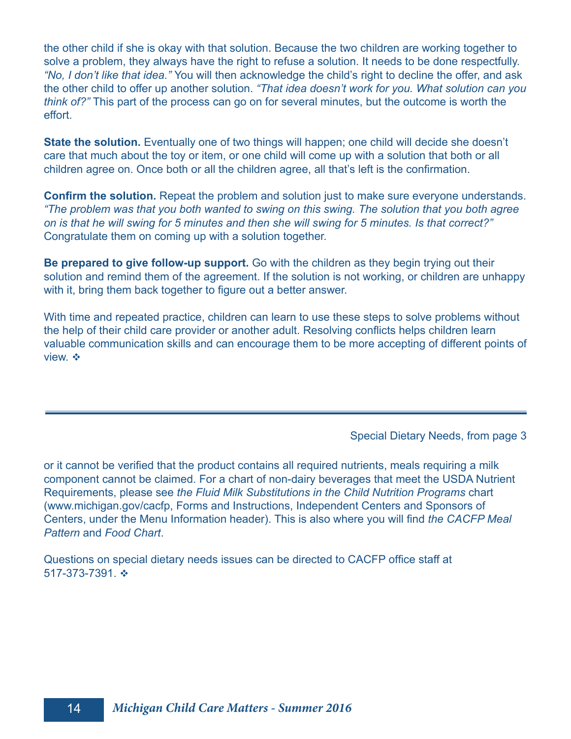the other child if she is okay with that solution. Because the two children are working together to solve a problem, they always have the right to refuse a solution. It needs to be done respectfully. *"No, I don't like that idea."* You will then acknowledge the child's right to decline the offer, and ask the other child to offer up another solution. *"That idea doesn't work for you. What solution can you think of?"* This part of the process can go on for several minutes, but the outcome is worth the effort.

**State the solution.** Eventually one of two things will happen; one child will decide she doesn't care that much about the toy or item, or one child will come up with a solution that both or all children agree on. Once both or all the children agree, all that's left is the confirmation.

**Confirm the solution.** Repeat the problem and solution just to make sure everyone understands. *"The problem was that you both wanted to swing on this swing. The solution that you both agree on is that he will swing for 5 minutes and then she will swing for 5 minutes. Is that correct?"*  Congratulate them on coming up with a solution together.

**Be prepared to give follow-up support.** Go with the children as they begin trying out their solution and remind them of the agreement. If the solution is not working, or children are unhappy with it, bring them back together to figure out a better answer.

With time and repeated practice, children can learn to use these steps to solve problems without the help of their child care provider or another adult. Resolving conflicts helps children learn valuable communication skills and can encourage them to be more accepting of different points of view. ❖

Special Dietary Needs, from page 3

or it cannot be verified that the product contains all required nutrients, meals requiring a milk component cannot be claimed. For a chart of non-dairy beverages that meet the USDA Nutrient Requirements, please see *the Fluid Milk Substitutions in the Child Nutrition Programs* chart ( www.michigan.gov/cacfp, Forms and Instructions, Independent Centers and Sponsors of Centers, under the Menu Information header). This is also where you will find *the CACFP Meal Pattern* and *Food Chart*.

Questions on special dietary needs issues can be directed to CACFP office staff at 517-373-7391.  $\div$